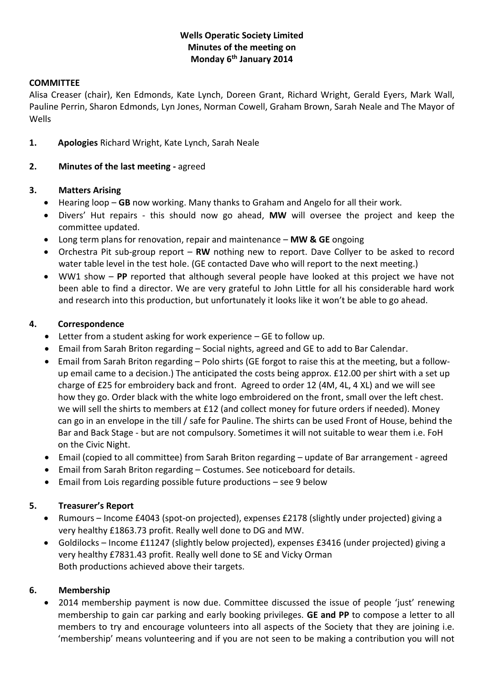### **Wells Operatic Society Limited Minutes of the meeting on Monday 6th January 2014**

#### **COMMITTEE**

Alisa Creaser (chair), Ken Edmonds, Kate Lynch, Doreen Grant, Richard Wright, Gerald Eyers, Mark Wall, Pauline Perrin, Sharon Edmonds, Lyn Jones, Norman Cowell, Graham Brown, Sarah Neale and The Mayor of Wells

**1. Apologies** Richard Wright, Kate Lynch, Sarah Neale

#### **2. Minutes of the last meeting -** agreed

#### **3. Matters Arising**

- Hearing loop **GB** now working. Many thanks to Graham and Angelo for all their work.
- Divers' Hut repairs this should now go ahead, **MW** will oversee the project and keep the committee updated.
- Long term plans for renovation, repair and maintenance **MW & GE** ongoing
- Orchestra Pit sub-group report **RW** nothing new to report. Dave Collyer to be asked to record water table level in the test hole. (GE contacted Dave who will report to the next meeting.)
- WW1 show **PP** reported that although several people have looked at this project we have not been able to find a director. We are very grateful to John Little for all his considerable hard work and research into this production, but unfortunately it looks like it won't be able to go ahead.

#### **4. Correspondence**

- Letter from a student asking for work experience GE to follow up.
- Email from Sarah Briton regarding Social nights, agreed and GE to add to Bar Calendar.
- Email from Sarah Briton regarding Polo shirts (GE forgot to raise this at the meeting, but a followup email came to a decision.) The anticipated the costs being approx. £12.00 per shirt with a set up charge of £25 for embroidery back and front. Agreed to order 12 (4M, 4L, 4 XL) and we will see how they go. Order black with the white logo embroidered on the front, small over the left chest. We will sell the shirts to members at £12 (and collect money for future orders if needed). Money can go in an envelope in the till / safe for Pauline. The shirts can be used Front of House, behind the Bar and Back Stage - but are not compulsory. Sometimes it will not suitable to wear them i.e. FoH on the Civic Night.
- Email (copied to all committee) from Sarah Briton regarding update of Bar arrangement agreed
- Email from Sarah Briton regarding Costumes. See noticeboard for details.
- Email from Lois regarding possible future productions see 9 below

### **5. Treasurer's Report**

- Rumours Income £4043 (spot-on projected), expenses £2178 (slightly under projected) giving a very healthy £1863.73 profit. Really well done to DG and MW.
- Goldilocks Income £11247 (slightly below projected), expenses £3416 (under projected) giving a very healthy £7831.43 profit. Really well done to SE and Vicky Orman Both productions achieved above their targets.

### **6. Membership**

 2014 membership payment is now due. Committee discussed the issue of people 'just' renewing membership to gain car parking and early booking privileges. **GE and PP** to compose a letter to all members to try and encourage volunteers into all aspects of the Society that they are joining i.e. 'membership' means volunteering and if you are not seen to be making a contribution you will not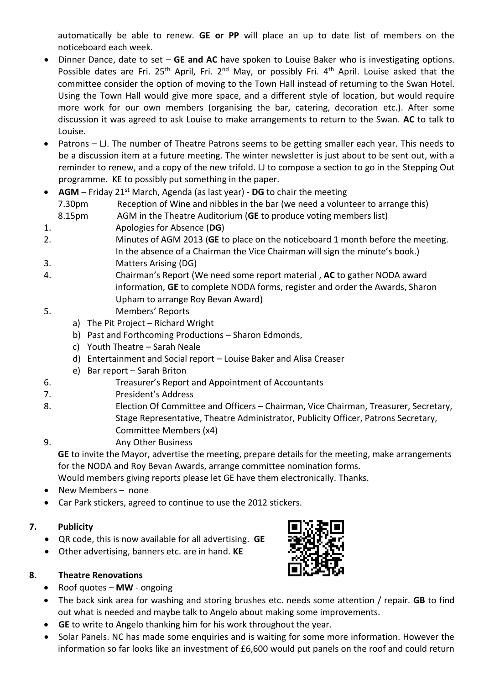automatically be able to renew. **GE or PP** will place an up to date list of members on the noticeboard each week.

- Dinner Dance, date to set **GE and AC** have spoken to Louise Baker who is investigating options. Possible dates are Fri. 25<sup>th</sup> April, Fri. 2<sup>nd</sup> May, or possibly Fri. 4<sup>th</sup> April. Louise asked that the committee consider the option of moving to the Town Hall instead of returning to the Swan Hotel. Using the Town Hall would give more space, and a different style of location, but would require more work for our own members (organising the bar, catering, decoration etc.). After some discussion it was agreed to ask Louise to make arrangements to return to the Swan. **AC** to talk to Louise.
- Patrons LJ. The number of Theatre Patrons seems to be getting smaller each year. This needs to be a discussion item at a future meeting. The winter newsletter is just about to be sent out, with a reminder to renew, and a copy of the new trifold. LJ to compose a section to go in the Stepping Out programme. KE to possibly put something in the paper.
- **• AGM** Friday 21<sup>st</sup> March, Agenda (as last year) **DG** to chair the meeting 7.30pm Reception of Wine and nibbles in the bar (we need a volunteer to arrange this) 8.15pm AGM in the Theatre Auditorium (**GE** to produce voting members list)
- 1. Apologies for Absence (**DG**)
- 2. Minutes of AGM 2013 (**GE** to place on the noticeboard 1 month before the meeting. In the absence of a Chairman the Vice Chairman will sign the minute's book.)
- 3. Matters Arising (DG)
- 4. Chairman's Report (We need some report material , **AC** to gather NODA award information, **GE** to complete NODA forms, register and order the Awards, Sharon Upham to arrange Roy Bevan Award)
- 5. Members' Reports
	- a) The Pit Project Richard Wright
	- b) Past and Forthcoming Productions Sharon Edmonds,
	- c) Youth Theatre Sarah Neale
	- d) Entertainment and Social report Louise Baker and Alisa Creaser
	- e) Bar report Sarah Briton
- 6. Treasurer's Report and Appointment of Accountants
- 7. President's Address
- 8. Election Of Committee and Officers Chairman, Vice Chairman, Treasurer, Secretary, Stage Representative, Theatre Administrator, Publicity Officer, Patrons Secretary, Committee Members (x4)
- 9. Any Other Business

**GE** to invite the Mayor, advertise the meeting, prepare details for the meeting, make arrangements for the NODA and Roy Bevan Awards, arrange committee nomination forms.

Would members giving reports please let GE have them electronically. Thanks.

- New Members none
- Car Park stickers, agreed to continue to use the 2012 stickers.

# **7. Publicity**

- QR code, this is now available for all advertising. **GE**
- Other advertising, banners etc. are in hand. **KE**



# **8. Theatre Renovations**

- Roof quotes **MW** ongoing
- The back sink area for washing and storing brushes etc. needs some attention / repair. **GB** to find out what is needed and maybe talk to Angelo about making some improvements.
- **GE** to write to Angelo thanking him for his work throughout the year.
- Solar Panels. NC has made some enquiries and is waiting for some more information. However the information so far looks like an investment of £6,600 would put panels on the roof and could return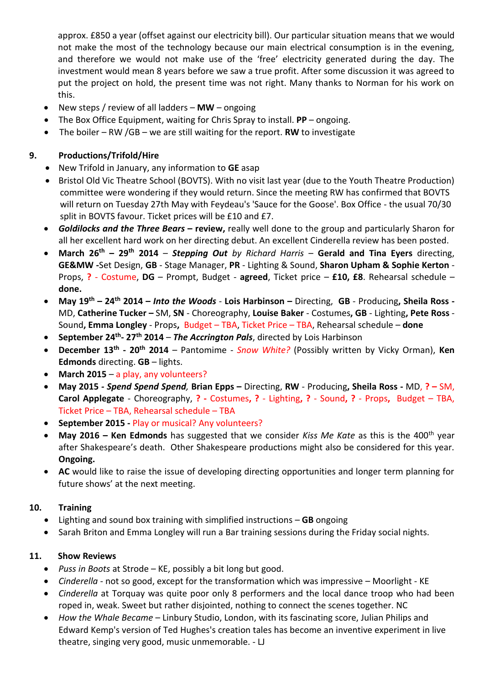approx. £850 a year (offset against our electricity bill). Our particular situation means that we would not make the most of the technology because our main electrical consumption is in the evening, and therefore we would not make use of the 'free' electricity generated during the day. The investment would mean 8 years before we saw a true profit. After some discussion it was agreed to put the project on hold, the present time was not right. Many thanks to Norman for his work on this.

- New steps / review of all ladders **MW**  ongoing
- The Box Office Equipment, waiting for Chris Spray to install. **PP** ongoing.
- The boiler RW /GB we are still waiting for the report. **RW** to investigate

# **9. Productions/Trifold/Hire**

- New Trifold in January, any information to **GE** asap
- Bristol Old Vic Theatre School (BOVTS). With no visit last year (due to the Youth Theatre Production) committee were wondering if they would return. Since the meeting RW has confirmed that BOVTS will return on Tuesday 27th May with Feydeau's 'Sauce for the Goose'. Box Office - the usual 70/30 split in BOVTS favour. Ticket prices will be £10 and £7.
- *Goldilocks and the Three Bears* **– review,** really well done to the group and particularly Sharon for all her excellent hard work on her directing debut. An excellent Cinderella review has been posted.
- **March 26th – 29th 2014** *Stepping Out by Richard Harris*  **Gerald and Tina Eyers** directing, **GE&MW -**Set Design, **GB** - Stage Manager, **PR** - Lighting & Sound, **Sharon Upham & Sophie Kerton** - Props, **?** - Costume, **DG** – Prompt, Budget - **agreed**, Ticket price – **£10, £8**. Rehearsal schedule – **done.**
- **May 19th – 24th 2014 –** *Into the Woods* **Lois Harbinson –** Directing, **GB** Producing**, Sheila Ross -** MD, **Catherine Tucker –** SM, **SN** - Choreography, **Louise Baker** - Costumes**, GB** - Lighting**, Pete Ross** - Sound**, Emma Longley** - Props**,** Budget – TBA, Ticket Price – TBA, Rehearsal schedule – **done**
- **September 24th - 27th 2014** *The Accrington Pals*, directed by Lois Harbinson
- **December 13th - 20th 2014** Pantomime *Snow White?* (Possibly written by Vicky Orman), **Ken Edmonds** directing. **GB** – lights.
- **March 2015** a play, any volunteers?
- **May 2015** *- Spend Spend Spend,* **Brian Epps –** Directing, **RW** Producing**, Sheila Ross -** MD, **? –** SM, **Carol Applegate** - Choreography, **? -** Costumes**, ?** - Lighting**, ?** - Sound**, ?** - Props**,** Budget – TBA, Ticket Price – TBA, Rehearsal schedule – TBA
- **September 2015 -** Play or musical? Any volunteers?
- May 2016 Ken Edmonds has suggested that we consider *Kiss Me Kate* as this is the 400<sup>th</sup> year after Shakespeare's death. Other Shakespeare productions might also be considered for this year. **Ongoing.**
- **AC** would like to raise the issue of developing directing opportunities and longer term planning for future shows' at the next meeting.

# **10. Training**

- Lighting and sound box training with simplified instructions **GB** ongoing
- Sarah Briton and Emma Longley will run a Bar training sessions during the Friday social nights.

# **11. Show Reviews**

- *Puss in Boots* at Strode KE, possibly a bit long but good.
- *Cinderella* not so good, except for the transformation which was impressive Moorlight KE
- *Cinderella* at Torquay was quite poor only 8 performers and the local dance troop who had been roped in, weak. Sweet but rather disjointed, nothing to connect the scenes together. NC
- *How the Whale Became* Linbury Studio, London, with its fascinating score, Julian Philips and Edward Kemp's version of Ted Hughes's creation tales has become an inventive experiment in live theatre, singing very good, music unmemorable. - LJ